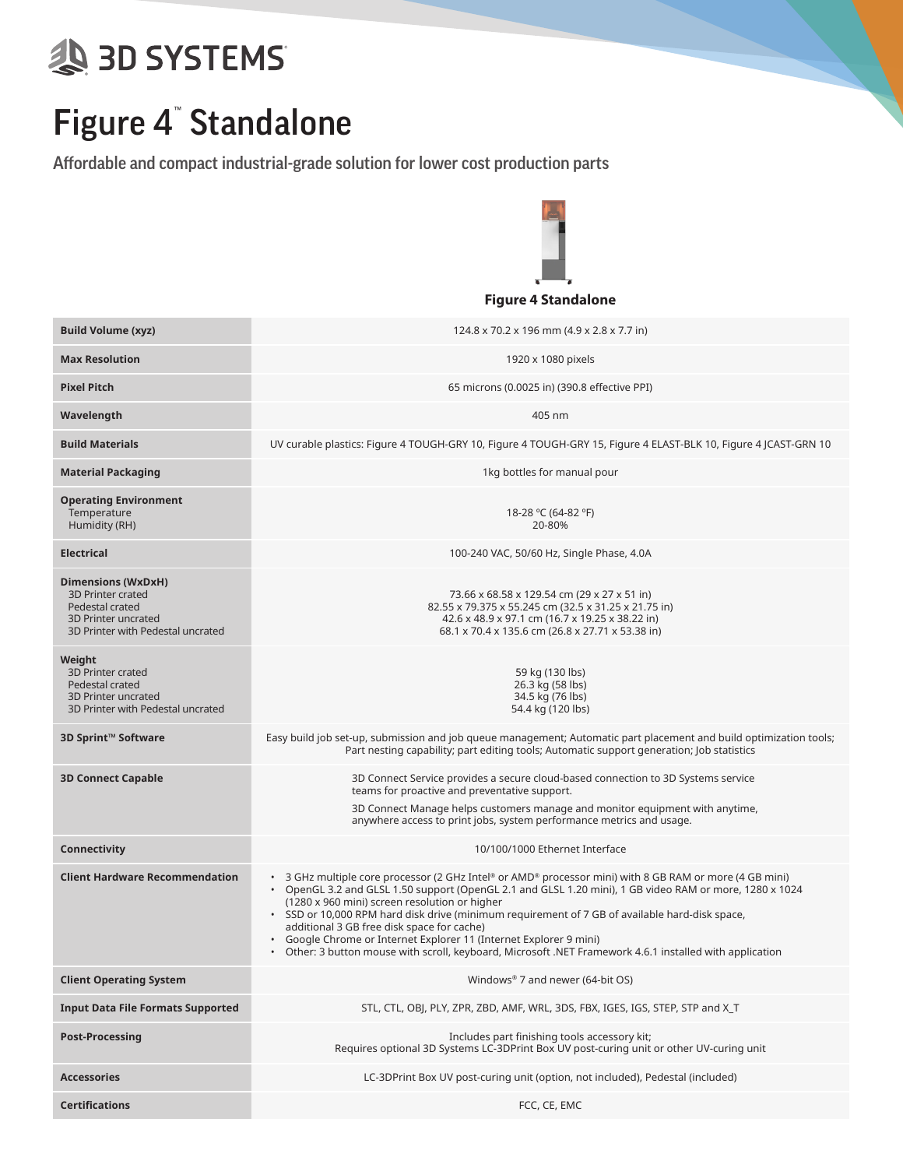## **SD SYSTEMS**

## Figure 4™ Standalone

Affordable and compact industrial-grade solution for lower cost production parts



|                                                                                                                        | <b>Figure + JuliualVIIE</b>                                                                                                                                                                                                                                                                                                                                                                                                                                                                                                                                                                                      |  |  |  |
|------------------------------------------------------------------------------------------------------------------------|------------------------------------------------------------------------------------------------------------------------------------------------------------------------------------------------------------------------------------------------------------------------------------------------------------------------------------------------------------------------------------------------------------------------------------------------------------------------------------------------------------------------------------------------------------------------------------------------------------------|--|--|--|
| <b>Build Volume (xyz)</b>                                                                                              | 124.8 x 70.2 x 196 mm (4.9 x 2.8 x 7.7 in)                                                                                                                                                                                                                                                                                                                                                                                                                                                                                                                                                                       |  |  |  |
| <b>Max Resolution</b>                                                                                                  | 1920 x 1080 pixels                                                                                                                                                                                                                                                                                                                                                                                                                                                                                                                                                                                               |  |  |  |
| <b>Pixel Pitch</b>                                                                                                     | 65 microns (0.0025 in) (390.8 effective PPI)                                                                                                                                                                                                                                                                                                                                                                                                                                                                                                                                                                     |  |  |  |
| Wavelength                                                                                                             | 405 nm                                                                                                                                                                                                                                                                                                                                                                                                                                                                                                                                                                                                           |  |  |  |
| <b>Build Materials</b>                                                                                                 | UV curable plastics: Figure 4 TOUGH-GRY 10, Figure 4 TOUGH-GRY 15, Figure 4 ELAST-BLK 10, Figure 4 JCAST-GRN 10                                                                                                                                                                                                                                                                                                                                                                                                                                                                                                  |  |  |  |
| <b>Material Packaging</b>                                                                                              | 1kg bottles for manual pour                                                                                                                                                                                                                                                                                                                                                                                                                                                                                                                                                                                      |  |  |  |
| <b>Operating Environment</b><br>Temperature<br>Humidity (RH)                                                           | 18-28 °C (64-82 °F)<br>20-80%                                                                                                                                                                                                                                                                                                                                                                                                                                                                                                                                                                                    |  |  |  |
| <b>Electrical</b>                                                                                                      | 100-240 VAC, 50/60 Hz, Single Phase, 4.0A                                                                                                                                                                                                                                                                                                                                                                                                                                                                                                                                                                        |  |  |  |
| Dimensions (WxDxH)<br>3D Printer crated<br>Pedestal crated<br>3D Printer uncrated<br>3D Printer with Pedestal uncrated | 73.66 x 68.58 x 129.54 cm (29 x 27 x 51 in)<br>82.55 x 79.375 x 55.245 cm (32.5 x 31.25 x 21.75 in)<br>42.6 x 48.9 x 97.1 cm (16.7 x 19.25 x 38.22 in)<br>68.1 x 70.4 x 135.6 cm (26.8 x 27.71 x 53.38 in)                                                                                                                                                                                                                                                                                                                                                                                                       |  |  |  |
| Weight<br>3D Printer crated<br>Pedestal crated<br>3D Printer uncrated<br>3D Printer with Pedestal uncrated             | 59 kg (130 lbs)<br>26.3 kg (58 lbs)<br>34.5 kg (76 lbs)<br>54.4 kg (120 lbs)                                                                                                                                                                                                                                                                                                                                                                                                                                                                                                                                     |  |  |  |
| 3D Sprint™ Software                                                                                                    | Easy build job set-up, submission and job queue management; Automatic part placement and build optimization tools;<br>Part nesting capability; part editing tools; Automatic support generation; Job statistics                                                                                                                                                                                                                                                                                                                                                                                                  |  |  |  |
| <b>3D Connect Capable</b>                                                                                              | 3D Connect Service provides a secure cloud-based connection to 3D Systems service<br>teams for proactive and preventative support.<br>3D Connect Manage helps customers manage and monitor equipment with anytime,<br>anywhere access to print jobs, system performance metrics and usage.                                                                                                                                                                                                                                                                                                                       |  |  |  |
| Connectivity                                                                                                           | 10/100/1000 Ethernet Interface                                                                                                                                                                                                                                                                                                                                                                                                                                                                                                                                                                                   |  |  |  |
| <b>Client Hardware Recommendation</b>                                                                                  | • 3 GHz multiple core processor (2 GHz Intel® or AMD® processor mini) with 8 GB RAM or more (4 GB mini)<br>• OpenGL 3.2 and GLSL 1.50 support (OpenGL 2.1 and GLSL 1.20 mini), 1 GB video RAM or more, 1280 x 1024<br>(1280 x 960 mini) screen resolution or higher<br>. SSD or 10,000 RPM hard disk drive (minimum requirement of 7 GB of available hard-disk space,<br>additional 3 GB free disk space for cache)<br>• Google Chrome or Internet Explorer 11 (Internet Explorer 9 mini)<br>Other: 3 button mouse with scroll, keyboard, Microsoft .NET Framework 4.6.1 installed with application<br>$\bullet$ |  |  |  |
| <b>Client Operating System</b>                                                                                         | Windows® 7 and newer (64-bit OS)                                                                                                                                                                                                                                                                                                                                                                                                                                                                                                                                                                                 |  |  |  |
| <b>Input Data File Formats Supported</b>                                                                               | STL, CTL, OBJ, PLY, ZPR, ZBD, AMF, WRL, 3DS, FBX, IGES, IGS, STEP, STP and X_T                                                                                                                                                                                                                                                                                                                                                                                                                                                                                                                                   |  |  |  |
| <b>Post-Processing</b>                                                                                                 | Includes part finishing tools accessory kit;<br>Requires optional 3D Systems LC-3DPrint Box UV post-curing unit or other UV-curing unit                                                                                                                                                                                                                                                                                                                                                                                                                                                                          |  |  |  |
| <b>Accessories</b>                                                                                                     | LC-3DPrint Box UV post-curing unit (option, not included), Pedestal (included)                                                                                                                                                                                                                                                                                                                                                                                                                                                                                                                                   |  |  |  |
| <b>Certifications</b>                                                                                                  | FCC, CE, EMC                                                                                                                                                                                                                                                                                                                                                                                                                                                                                                                                                                                                     |  |  |  |